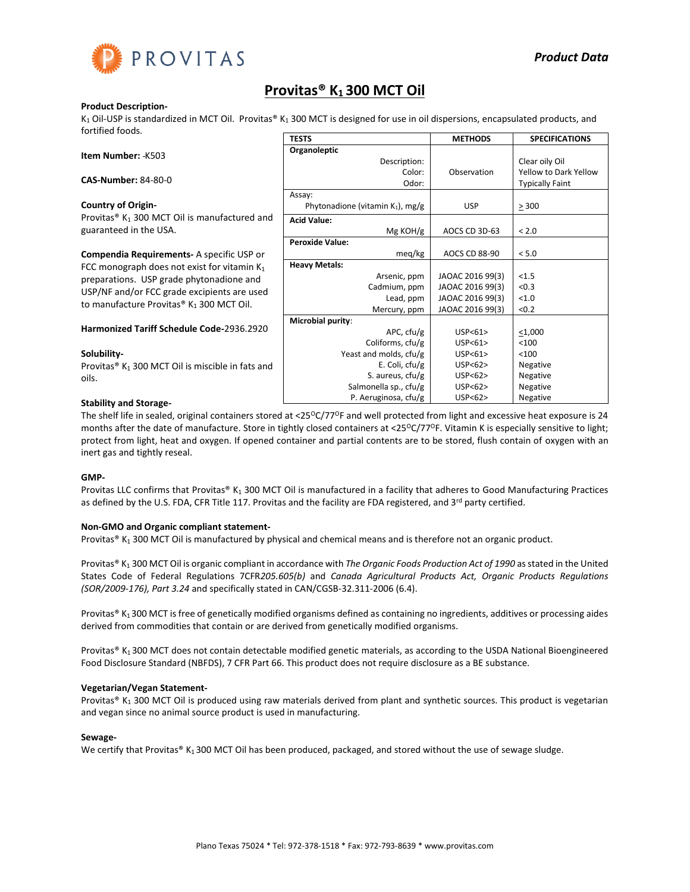

## **Provitas® K1 300 MCT Oil**

### **Product Description-**

 $K_1$  Oil-USP is standardized in MCT Oil. Provitas®  $K_1$  300 MCT is designed for use in oil dispersions, encapsulated products, and fortified foods. **TESTS METHODS SPECIFICATIONS**

|                                                              | 1 63 1 3                            | <b>IVIEINUDS</b>     | SPELIFILATIUNS               |
|--------------------------------------------------------------|-------------------------------------|----------------------|------------------------------|
| Item Number: - K503                                          | Organoleptic                        |                      |                              |
|                                                              | Description:                        |                      | Clear oily Oil               |
|                                                              | Color:                              | Observation          | <b>Yellow to Dark Yellow</b> |
| <b>CAS-Number: 84-80-0</b>                                   | Odor:                               |                      | <b>Typically Faint</b>       |
|                                                              | Assay:                              |                      |                              |
| <b>Country of Origin-</b>                                    | Phytonadione (vitamin $K_1$ ), mg/g | <b>USP</b>           | $\geq$ 300                   |
| Provitas® K <sub>1</sub> 300 MCT Oil is manufactured and     | <b>Acid Value:</b>                  |                      |                              |
| guaranteed in the USA.                                       | $Mg$ KOH/g                          | AOCS CD 3D-63        | < 2.0                        |
|                                                              | <b>Peroxide Value:</b>              |                      |                              |
| Compendia Requirements- A specific USP or                    | meg/kg                              | <b>AOCS CD 88-90</b> | < 5.0                        |
| FCC monograph does not exist for vitamin $K_1$               | <b>Heavy Metals:</b>                |                      |                              |
| preparations. USP grade phytonadione and                     | Arsenic, ppm                        | JAOAC 2016 99(3)     | < 1.5                        |
| USP/NF and/or FCC grade excipients are used                  | Cadmium, ppm                        | JAOAC 2016 99(3)     | < 0.3                        |
| to manufacture Provitas® K <sub>1</sub> 300 MCT Oil.         | Lead, ppm                           | JAOAC 2016 99(3)     | < 1.0                        |
|                                                              | Mercury, ppm                        | JAOAC 2016 99(3)     | < 0.2                        |
|                                                              | Microbial purity:                   |                      |                              |
| <b>Harmonized Tariff Schedule Code-2936.2920</b>             | APC, cfu/g                          | USP < 61             | $<$ 1,000                    |
|                                                              | Coliforms, cfu/g                    | USP < 61             | < 100                        |
| Solubility-                                                  | Yeast and molds, cfu/g              | USP < 61             | $<$ 100                      |
| Provitas® K <sub>1</sub> 300 MCT Oil is miscible in fats and | E. Coli, $ctu/g$                    | USP < 62             | Negative                     |
| oils.                                                        | S. aureus, $ctu/g$                  | USP < 62             | Negative                     |
|                                                              | Salmonella sp., cfu/g               | USP<62>              | Negative                     |
| <b>Stability and Storage-</b>                                | P. Aeruginosa, cfu/g                | USP < 62             | Negative                     |

The shelf life in sealed, original containers stored at <25 $^{\circ}$ C/77 $^{\circ}$ F and well protected from light and excessive heat exposure is 24 months after the date of manufacture. Store in tightly closed containers at <25°C/77°F. Vitamin K is especially sensitive to light; protect from light, heat and oxygen. If opened container and partial contents are to be stored, flush contain of oxygen with an inert gas and tightly reseal.

## **GMP-**

Provitas LLC confirms that Provitas® K<sub>1</sub> 300 MCT Oil is manufactured in a facility that adheres to Good Manufacturing Practices as defined by the U.S. FDA, CFR Title 117. Provitas and the facility are FDA registered, and 3<sup>rd</sup> party certified.

## **Non-GMO and Organic compliant statement-**

Provitas® K<sub>1</sub> 300 MCT Oil is manufactured by physical and chemical means and is therefore not an organic product.

Provitas® K<sup>1</sup> 300 MCT Oil is organic compliant in accordance with *The Organic Foods Production Act of 1990* as stated in the United States Code of Federal Regulations 7CFR*205.605(b)* and *Canada Agricultural Products Act, Organic Products Regulations (SOR/2009-176), Part 3.24* and specifically stated in CAN/CGSB-32.311-2006 (6.4).

Provitas® K<sub>1</sub> 300 MCT is free of genetically modified organisms defined as containing no ingredients, additives or processing aides derived from commodities that contain or are derived from genetically modified organisms.

Provitas® K<sub>1</sub> 300 MCT does not contain detectable modified genetic materials, as according to the USDA National Bioengineered Food Disclosure Standard (NBFDS), 7 CFR Part 66. This product does not require disclosure as a BE substance.

## **Vegetarian/Vegan Statement-**

Provitas® K<sub>1</sub> 300 MCT Oil is produced using raw materials derived from plant and synthetic sources. This product is vegetarian and vegan since no animal source product is used in manufacturing.

#### **Sewage-**

We certify that Provitas® K<sub>1</sub> 300 MCT Oil has been produced, packaged, and stored without the use of sewage sludge.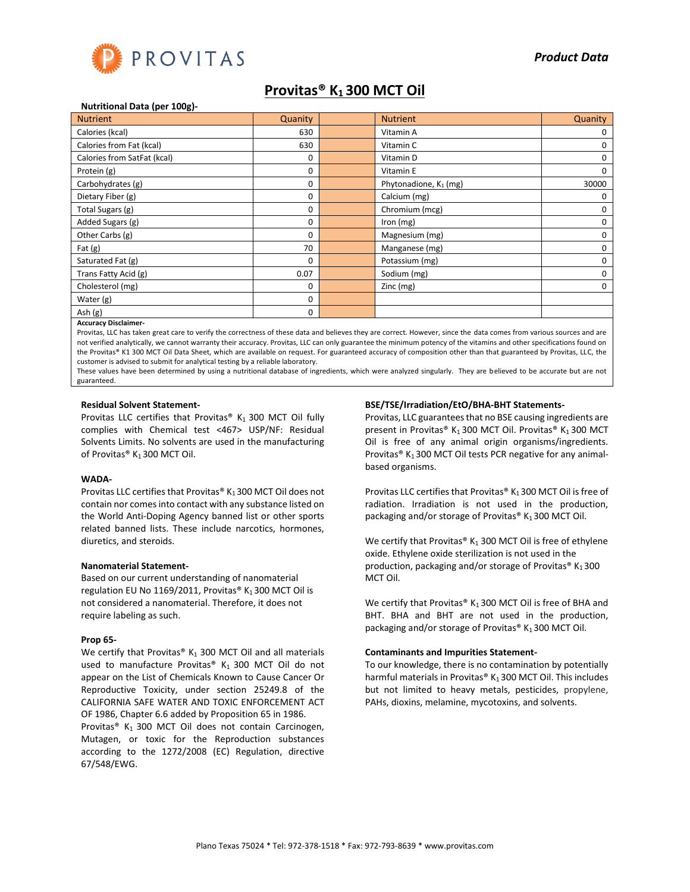

## **Provitas® K1 300 MCT Oil**

#### **Nutritional Data (per 100g)-**

| <b>Nutrient</b>             | Quanity | <b>Nutrient</b>          | Quanity      |
|-----------------------------|---------|--------------------------|--------------|
| Calories (kcal)             | 630     | Vitamin A                | 0            |
| Calories from Fat (kcal)    | 630     | Vitamin C                | 0            |
| Calories from SatFat (kcal) | 0       | Vitamin D                | 0            |
| Protein (g)                 | 0       | Vitamin E                | 0            |
| Carbohydrates (g)           | 0       | Phytonadione, $K_1$ (mg) | 30000        |
| Dietary Fiber (g)           | 0       | Calcium (mg)             | O            |
| Total Sugars (g)            | 0       | Chromium (mcg)           |              |
| Added Sugars (g)            | 0       | Iron (mg)                | 0            |
| Other Carbs (g)             | 0       | Magnesium (mg)           | 0            |
| Fat $(g)$                   | 70      | Manganese (mg)           | o            |
| Saturated Fat (g)           | 0       | Potassium (mg)           | o            |
| Trans Fatty Acid (g)        | 0.07    | Sodium (mg)              | <sup>0</sup> |
| Cholesterol (mg)            | 0       | Zinc (mg)                | 0            |
| Water (g)                   | 0       |                          |              |
| Ash (g)                     | 0       |                          |              |

#### **Accuracy Disclaimer-**

Provitas, LLC has taken great care to verify the correctness of these data and believes they are correct. However, since the data comes from various sources and are not verified analytically, we cannot warranty their accuracy. Provitas, LLC can only guarantee the minimum potency of the vitamins and other specifications found on the Provitas® K1 300 MCT Oil Data Sheet, which are available on request. For guaranteed accuracy of composition other than that guaranteed by Provitas, LLC, the customer is advised to submit for analytical testing by a reliable laboratory.

These values have been determined by using a nutritional database of ingredients, which were analyzed singularly. They are believed to be accurate but are not guaranteed.

#### **Residual Solvent Statement-**

Provitas LLC certifies that Provitas®  $K_1$  300 MCT Oil fully complies with Chemical test <467> USP/NF: Residual Solvents Limits. No solvents are used in the manufacturing of Provitas® K<sub>1</sub> 300 MCT Oil.

#### **WADA-**

Provitas LLC certifies that Provitas® K<sub>1</sub> 300 MCT Oil does not contain nor comes into contact with any substance listed on the World Anti-Doping Agency banned list or other sports related banned lists. These include narcotics, hormones, diuretics, and steroids.

#### **Nanomaterial Statement-**

Based on our current understanding of nanomaterial regulation EU No 1169/2011, Provitas®  $K_1$  300 MCT Oil is not considered a nanomaterial. Therefore, it does not require labeling as such.

#### **Prop 65-**

We certify that Provitas®  $K_1$  300 MCT Oil and all materials used to manufacture Provitas®  $K_1$  300 MCT Oil do not appear on the List of Chemicals Known to Cause Cancer Or Reproductive Toxicity, under section 25249.8 of the CALIFORNIA SAFE WATER AND TOXIC ENFORCEMENT ACT OF 1986, Chapter 6.6 added by Proposition 65 in 1986.

Provitas® K<sub>1</sub> 300 MCT Oil does not contain Carcinogen, Mutagen, or toxic for the Reproduction substances according to the 1272/2008 (EC) Regulation, directive 67/548/EWG.

#### **BSE/TSE/Irradiation/EtO/BHA-BHT Statements-**

Provitas, LLC guarantees that no BSE causing ingredients are present in Provitas® K<sub>1</sub> 300 MCT Oil. Provitas® K<sub>1</sub> 300 MCT Oil is free of any animal origin organisms/ingredients. Provitas<sup>®</sup> K<sub>1</sub> 300 MCT Oil tests PCR negative for any animalbased organisms.

Provitas LLC certifies that Provitas®  $K_1$  300 MCT Oil is free of radiation. Irradiation is not used in the production, packaging and/or storage of Provitas®  $K_1$  300 MCT Oil.

We certify that Provitas®  $K_1$  300 MCT Oil is free of ethylene oxide. Ethylene oxide sterilization is not used in the production, packaging and/or storage of Provitas®  $K_1 300$ MCT Oil.

We certify that Provitas®  $K_1$  300 MCT Oil is free of BHA and BHT. BHA and BHT are not used in the production, packaging and/or storage of Provitas®  $K_1$  300 MCT Oil.

#### **Contaminants and Impurities Statement-**

To our knowledge, there is no contamination by potentially harmful materials in Provitas®  $K_1$  300 MCT Oil. This includes but not limited to heavy metals, pesticides, propylene, PAHs, dioxins, melamine, mycotoxins, and solvents.